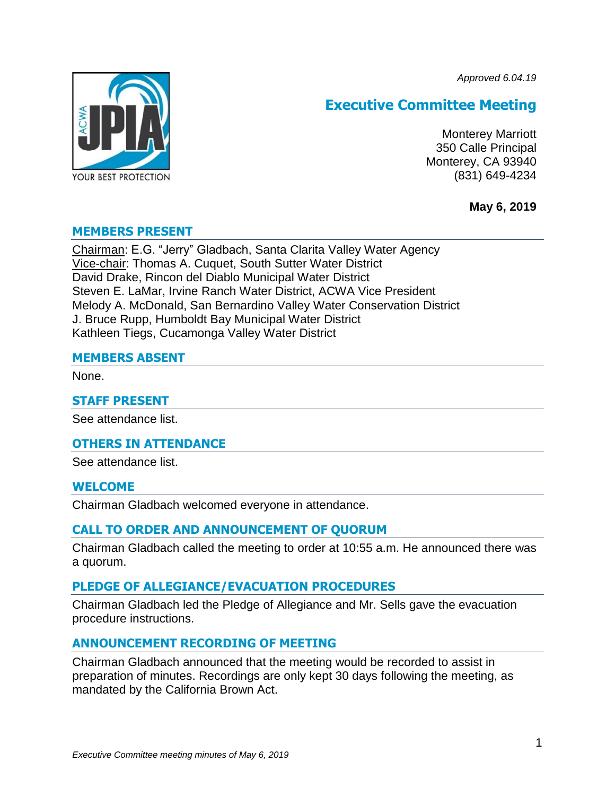*Approved 6.04.19*



# **Executive Committee Meeting**

Monterey Marriott 350 Calle Principal Monterey, CA 93940 (831) 649-4234

**May 6, 2019**

### **MEMBERS PRESENT**

Chairman: E.G. "Jerry" Gladbach, Santa Clarita Valley Water Agency Vice-chair: Thomas A. Cuquet, South Sutter Water District David Drake, Rincon del Diablo Municipal Water District Steven E. LaMar, Irvine Ranch Water District, ACWA Vice President Melody A. McDonald, San Bernardino Valley Water Conservation District J. Bruce Rupp, Humboldt Bay Municipal Water District Kathleen Tiegs, Cucamonga Valley Water District

### **MEMBERS ABSENT**

None.

### **STAFF PRESENT**

See attendance list.

### **OTHERS IN ATTENDANCE**

See attendance list.

### **WELCOME**

Chairman Gladbach welcomed everyone in attendance.

### **CALL TO ORDER AND ANNOUNCEMENT OF QUORUM**

Chairman Gladbach called the meeting to order at 10:55 a.m. He announced there was a quorum.

### **PLEDGE OF ALLEGIANCE/EVACUATION PROCEDURES**

Chairman Gladbach led the Pledge of Allegiance and Mr. Sells gave the evacuation procedure instructions.

### **ANNOUNCEMENT RECORDING OF MEETING**

Chairman Gladbach announced that the meeting would be recorded to assist in preparation of minutes. Recordings are only kept 30 days following the meeting, as mandated by the California Brown Act.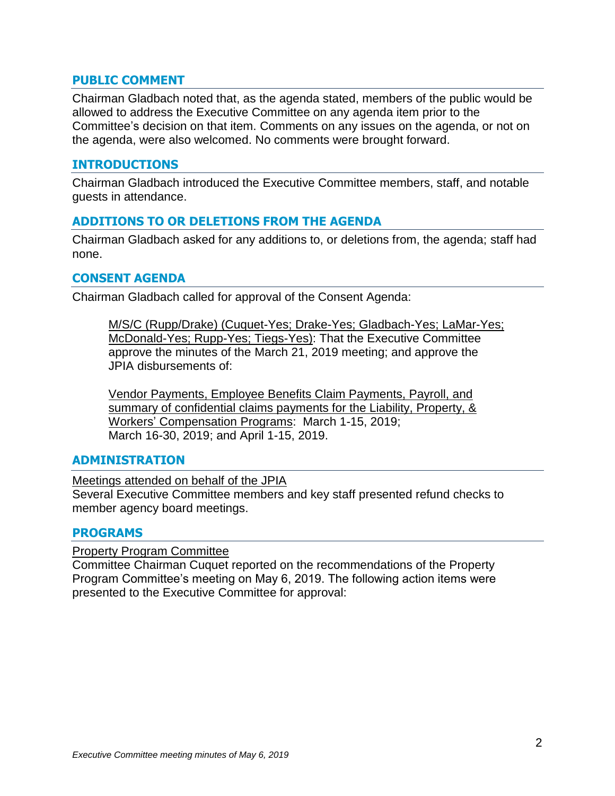### **PUBLIC COMMENT**

Chairman Gladbach noted that, as the agenda stated, members of the public would be allowed to address the Executive Committee on any agenda item prior to the Committee's decision on that item. Comments on any issues on the agenda, or not on the agenda, were also welcomed. No comments were brought forward.

### **INTRODUCTIONS**

Chairman Gladbach introduced the Executive Committee members, staff, and notable guests in attendance.

### **ADDITIONS TO OR DELETIONS FROM THE AGENDA**

Chairman Gladbach asked for any additions to, or deletions from, the agenda; staff had none.

### **CONSENT AGENDA**

Chairman Gladbach called for approval of the Consent Agenda:

M/S/C (Rupp/Drake) (Cuquet-Yes; Drake-Yes; Gladbach-Yes; LaMar-Yes; McDonald-Yes; Rupp-Yes; Tiegs-Yes): That the Executive Committee approve the minutes of the March 21, 2019 meeting; and approve the JPIA disbursements of:

Vendor Payments, Employee Benefits Claim Payments, Payroll, and summary of confidential claims payments for the Liability, Property, & Workers' Compensation Programs: March 1-15, 2019; March 16-30, 2019; and April 1-15, 2019.

### **ADMINISTRATION**

Meetings attended on behalf of the JPIA Several Executive Committee members and key staff presented refund checks to member agency board meetings.

### **PROGRAMS**

Property Program Committee

Committee Chairman Cuquet reported on the recommendations of the Property Program Committee's meeting on May 6, 2019. The following action items were presented to the Executive Committee for approval: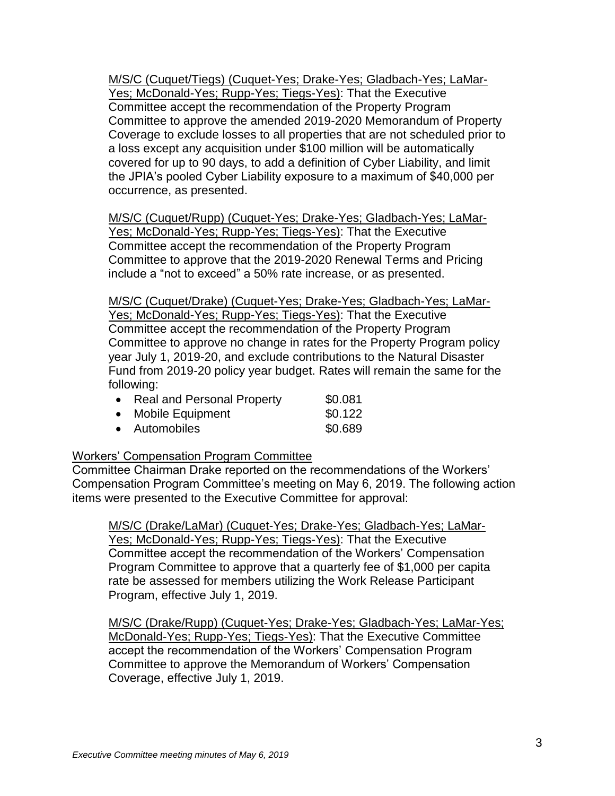M/S/C (Cuquet/Tiegs) (Cuquet-Yes; Drake-Yes; Gladbach-Yes; LaMar-Yes; McDonald-Yes; Rupp-Yes; Tiegs-Yes): That the Executive Committee accept the recommendation of the Property Program Committee to approve the amended 2019-2020 Memorandum of Property Coverage to exclude losses to all properties that are not scheduled prior to a loss except any acquisition under \$100 million will be automatically covered for up to 90 days, to add a definition of Cyber Liability, and limit the JPIA's pooled Cyber Liability exposure to a maximum of \$40,000 per occurrence, as presented.

M/S/C (Cuquet/Rupp) (Cuquet-Yes; Drake-Yes; Gladbach-Yes; LaMar-Yes; McDonald-Yes; Rupp-Yes; Tiegs-Yes): That the Executive Committee accept the recommendation of the Property Program Committee to approve that the 2019-2020 Renewal Terms and Pricing include a "not to exceed" a 50% rate increase, or as presented.

M/S/C (Cuquet/Drake) (Cuquet-Yes; Drake-Yes; Gladbach-Yes; LaMar-Yes; McDonald-Yes; Rupp-Yes; Tiegs-Yes): That the Executive Committee accept the recommendation of the Property Program Committee to approve no change in rates for the Property Program policy year July 1, 2019-20, and exclude contributions to the Natural Disaster Fund from 2019-20 policy year budget. Rates will remain the same for the following:

| • Real and Personal Property | \$0.081 |
|------------------------------|---------|
| • Mobile Equipment           | \$0.122 |
| • Automobiles                | \$0.689 |

### Workers' Compensation Program Committee

Committee Chairman Drake reported on the recommendations of the Workers' Compensation Program Committee's meeting on May 6, 2019. The following action items were presented to the Executive Committee for approval:

M/S/C (Drake/LaMar) (Cuquet-Yes; Drake-Yes; Gladbach-Yes; LaMar-Yes; McDonald-Yes; Rupp-Yes; Tiegs-Yes): That the Executive Committee accept the recommendation of the Workers' Compensation Program Committee to approve that a quarterly fee of \$1,000 per capita rate be assessed for members utilizing the Work Release Participant Program, effective July 1, 2019.

M/S/C (Drake/Rupp) (Cuquet-Yes; Drake-Yes; Gladbach-Yes; LaMar-Yes; McDonald-Yes; Rupp-Yes; Tiegs-Yes): That the Executive Committee accept the recommendation of the Workers' Compensation Program Committee to approve the Memorandum of Workers' Compensation Coverage, effective July 1, 2019.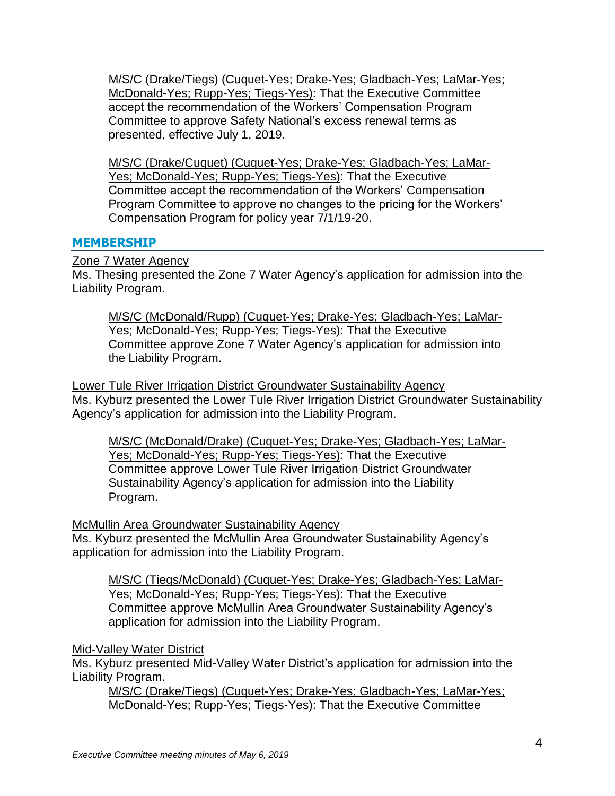M/S/C (Drake/Tiegs) (Cuquet-Yes; Drake-Yes; Gladbach-Yes; LaMar-Yes; McDonald-Yes; Rupp-Yes; Tiegs-Yes): That the Executive Committee accept the recommendation of the Workers' Compensation Program Committee to approve Safety National's excess renewal terms as presented, effective July 1, 2019.

M/S/C (Drake/Cuquet) (Cuquet-Yes; Drake-Yes; Gladbach-Yes; LaMar-Yes; McDonald-Yes; Rupp-Yes; Tiegs-Yes): That the Executive Committee accept the recommendation of the Workers' Compensation Program Committee to approve no changes to the pricing for the Workers' Compensation Program for policy year 7/1/19-20.

# **MEMBERSHIP**

### Zone 7 Water Agency

Ms. Thesing presented the Zone 7 Water Agency's application for admission into the Liability Program.

M/S/C (McDonald/Rupp) (Cuquet-Yes; Drake-Yes; Gladbach-Yes; LaMar-Yes; McDonald-Yes; Rupp-Yes; Tiegs-Yes): That the Executive Committee approve Zone 7 Water Agency's application for admission into the Liability Program.

Lower Tule River Irrigation District Groundwater Sustainability Agency Ms. Kyburz presented the Lower Tule River Irrigation District Groundwater Sustainability Agency's application for admission into the Liability Program.

M/S/C (McDonald/Drake) (Cuquet-Yes; Drake-Yes; Gladbach-Yes; LaMar-Yes; McDonald-Yes; Rupp-Yes; Tiegs-Yes): That the Executive Committee approve Lower Tule River Irrigation District Groundwater Sustainability Agency's application for admission into the Liability Program.

# McMullin Area Groundwater Sustainability Agency

Ms. Kyburz presented the McMullin Area Groundwater Sustainability Agency's application for admission into the Liability Program.

M/S/C (Tiegs/McDonald) (Cuquet-Yes; Drake-Yes; Gladbach-Yes; LaMar-Yes; McDonald-Yes; Rupp-Yes; Tiegs-Yes): That the Executive Committee approve McMullin Area Groundwater Sustainability Agency's application for admission into the Liability Program.

# Mid-Valley Water District

Ms. Kyburz presented Mid-Valley Water District's application for admission into the Liability Program.

M/S/C (Drake/Tiegs) (Cuquet-Yes; Drake-Yes; Gladbach-Yes; LaMar-Yes; McDonald-Yes; Rupp-Yes; Tiegs-Yes): That the Executive Committee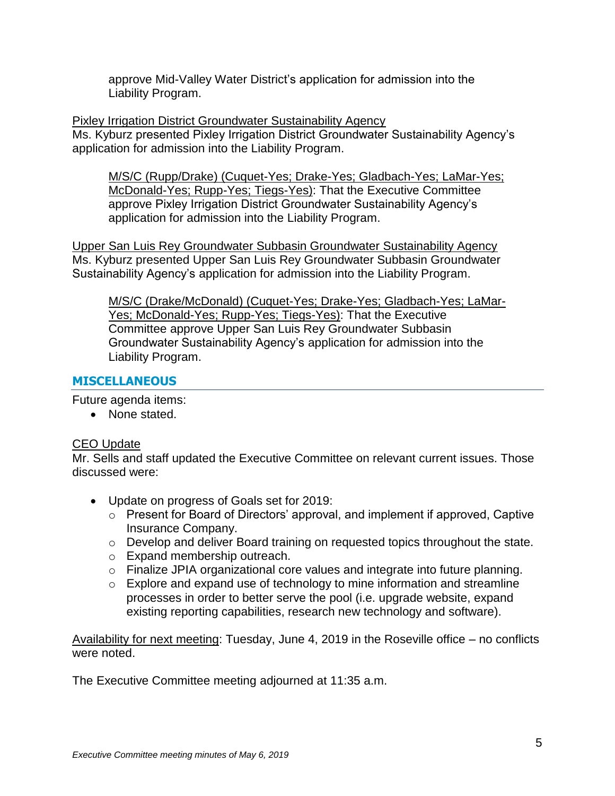approve Mid-Valley Water District's application for admission into the Liability Program.

Pixley Irrigation District Groundwater Sustainability Agency

Ms. Kyburz presented Pixley Irrigation District Groundwater Sustainability Agency's application for admission into the Liability Program.

M/S/C (Rupp/Drake) (Cuquet-Yes; Drake-Yes; Gladbach-Yes; LaMar-Yes; McDonald-Yes; Rupp-Yes; Tiegs-Yes): That the Executive Committee approve Pixley Irrigation District Groundwater Sustainability Agency's application for admission into the Liability Program.

Upper San Luis Rey Groundwater Subbasin Groundwater Sustainability Agency Ms. Kyburz presented Upper San Luis Rey Groundwater Subbasin Groundwater Sustainability Agency's application for admission into the Liability Program.

M/S/C (Drake/McDonald) (Cuquet-Yes; Drake-Yes; Gladbach-Yes; LaMar-Yes; McDonald-Yes; Rupp-Yes; Tiegs-Yes): That the Executive Committee approve Upper San Luis Rey Groundwater Subbasin Groundwater Sustainability Agency's application for admission into the Liability Program.

# **MISCELLANEOUS**

Future agenda items:

• None stated.

# CEO Update

Mr. Sells and staff updated the Executive Committee on relevant current issues. Those discussed were:

- Update on progress of Goals set for 2019:
	- o Present for Board of Directors' approval, and implement if approved, Captive Insurance Company.
	- o Develop and deliver Board training on requested topics throughout the state.
	- o Expand membership outreach.
	- o Finalize JPIA organizational core values and integrate into future planning.
	- o Explore and expand use of technology to mine information and streamline processes in order to better serve the pool (i.e. upgrade website, expand existing reporting capabilities, research new technology and software).

Availability for next meeting: Tuesday, June 4, 2019 in the Roseville office – no conflicts were noted.

The Executive Committee meeting adjourned at 11:35 a.m.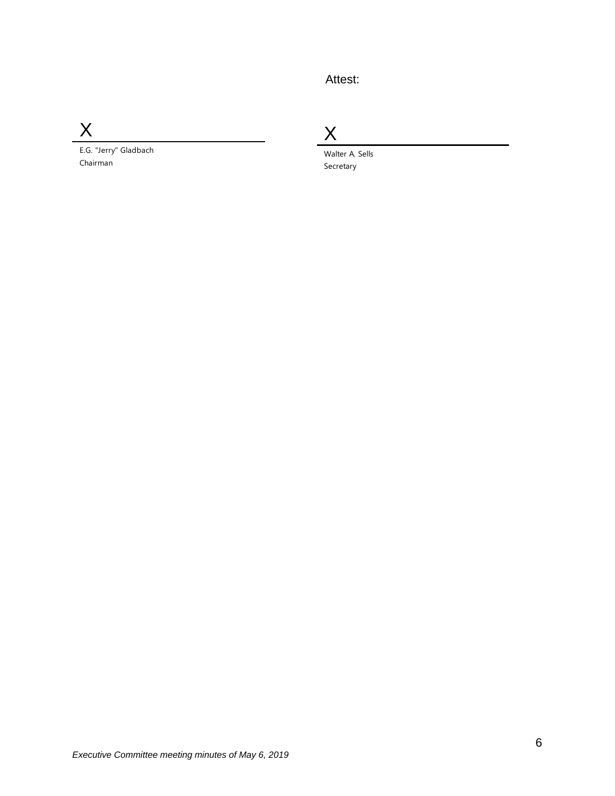# Attest:

X

E.G. "Jerry" Gladbach Chairman

X

Walter A. Sells Secretary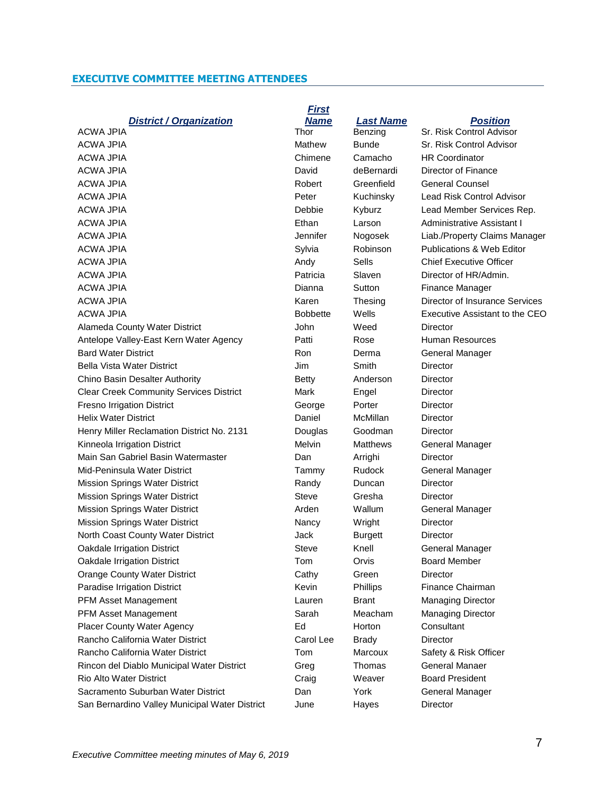### **EXECUTIVE COMMITTEE MEETING ATTENDEES**

### *District / Organization*

ACWA JPIA Mathew Bunde Sr. Risk Control Advisor ACWA JPIA Chimene Camacho HR Coordinator ACWA JPIA **David** David deBernardi Director of Finance ACWA JPIA **Robert** Greenfield General Counsel ACWA JPIA Peter Kuchinsky Lead Risk Control Advisor ACWA JPIA Debbie Kyburz Lead Member Services Rep. ACWA JPIA Ethan Larson Administrative Assistant I ACWA JPIA Jennifer Nogosek Liab./Property Claims Manager ACWA JPIA Sylvia Robinson Publications & Web Editor Andy Sells Chief Executive Officer ACWA JPIA Patricia Slaven Director of HR/Admin. ACWA JPIA Dianna Sutton Finance Manager ACWA JPIA **Karen** Thesing Director of Insurance Services ACWA JPIA **Bobbette** Wells Executive Assistant to the CEO Alameda County Water District **Alameda County Water District** John Weed Director Antelope Valley-East Kern Water Agency Patti Rose Human Resources Bard Water District **Ron** Ron Derma General Manager Bella Vista Water District **Communist Communist Communist Communist Communist Communist Communist Communist Communist Communist Communist Communist Communist Communist Communist Communist Communist Communist Communist Comm** Chino Basin Desalter Authority **Betty** Betty Anderson Director Clear Creek Community Services District Mark Engel Director Fresno Irrigation District The Context Ceorge Porter Director Helix Water District Daniel McMillan Director Henry Miller Reclamation District No. 2131 Douglas Goodman Director Kinneola Irrigation District **Melvin** Melvin Matthews General Manager Main San Gabriel Basin Watermaster Dan Arrighi Director Mid-Peninsula Water District Tammy Rudock General Manager Mission Springs Water District **Randy Duncan** Director Mission Springs Water District **Steve** Gresha Director Mission Springs Water District **Article State Article Article Article Article Wallum** General Manager Mission Springs Water District **Nancy** Nancy Wright Director North Coast County Water District **Ack Ack Accord Burgett** Director Oakdale Irrigation District The Steve Knell General Manager Oakdale Irrigation District **The Community Convention Convention** Crystal Board Member Orange County Water District **Cathy** Cathy Green Director Paradise Irrigation District The Chairman Kevin Phillips Finance Chairman PFM Asset Management Lauren Brant Managing Director PFM Asset Management **Sarah** Sarah Meacham Managing Director Placer County Water Agency **Ed** Horton Consultant Rancho California Water District Carol Lee Brady Carol Lee Brady Director Rancho California Water District Tom Marcoux Safety & Risk Officer Rincon del Diablo Municipal Water District Greg Thomas General Manaer Rio Alto Water District Craig Weaver Board President Sacramento Suburban Water District **Concretive Concretive Concretive Concretive** Seneral Manager San Bernardino Valley Municipal Water District June Hayes Director

# *First Name Last Name Position* ACWA JPIA **Thor** Benzing Sr. Risk Control Advisor